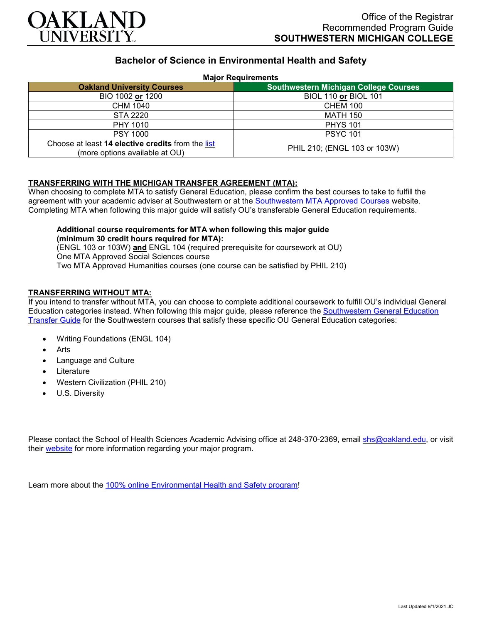

# **Bachelor of Science in Environmental Health and Safety**

#### **Major Requirements**

| <b>Oakland University Courses</b>                                                   | <b>Southwestern Michigan College Courses</b> |
|-------------------------------------------------------------------------------------|----------------------------------------------|
| BIO 1002 or 1200                                                                    | <b>BIOL 110 or BIOL 101</b>                  |
| CHM 1040                                                                            | <b>CHEM 100</b>                              |
| STA 2220                                                                            | MATH 150                                     |
| PHY 1010                                                                            | <b>PHYS 101</b>                              |
| <b>PSY 1000</b>                                                                     | <b>PSYC 101</b>                              |
| Choose at least 14 elective credits from the list<br>(more options available at OU) | PHIL 210; (ENGL 103 or 103W)                 |

### **TRANSFERRING WITH THE MICHIGAN TRANSFER AGREEMENT (MTA):**

When choosing to complete MTA to satisfy General Education, please confirm the best courses to take to fulfill the agreement with your academic adviser at Southwestern or at the [Southwestern MTA Approved Courses](https://www.swmich.edu/media/website/content-assets/documents/mta-ADA.pdf) website. Completing MTA when following this major guide will satisfy OU's transferable General Education requirements.

## **Additional course requirements for MTA when following this major guide (minimum 30 credit hours required for MTA):**

(ENGL 103 or 103W) **and** ENGL 104 (required prerequisite for coursework at OU) One MTA Approved Social Sciences course Two MTA Approved Humanities courses (one course can be satisfied by PHIL 210)

### **TRANSFERRING WITHOUT MTA:**

If you intend to transfer without MTA, you can choose to complete additional coursework to fulfill OU's individual General Education categories instead. When following this major guide, please reference the [Southwestern General Education](https://www.oakland.edu/Assets/Oakland/program-guides/southwestern-michigan-college/university-general-education-requirements/Southwestern%20Gen%20Ed.pdf)  [Transfer Guide](https://www.oakland.edu/Assets/Oakland/program-guides/southwestern-michigan-college/university-general-education-requirements/Southwestern%20Gen%20Ed.pdf) for the Southwestern courses that satisfy these specific OU General Education categories:

- Writing Foundations (ENGL 104)
- **Arts**
- Language and Culture
- **Literature**
- Western Civilization (PHIL 210)
- U.S. Diversity

Please contact the School of Health Sciences Academic Advising office at 248-370-2369, email [shs@oakland.edu,](mailto:shs@oakland.edu) or visit their [website](http://www.oakland.edu/shs/advising) for more information regarding your major program.

Learn more about the [100% online Environmental Health and Safety program!](https://www.oakland.edu/online/undergraduate-degree-programs/ehs/)